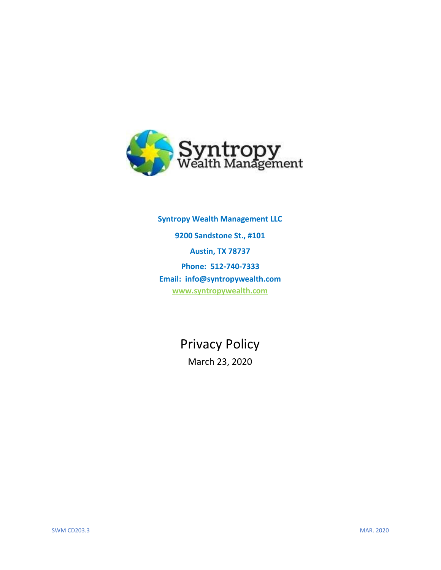

**Syntropy Wealth Management LLC 9200 Sandstone St., #101 Austin, TX 78737 Phone: 512-740-7333 Email: info@syntropywealth.com [www.syntropywealth.com](http://www.syntropywealth.com/)**

Privacy Policy

March 23, 2020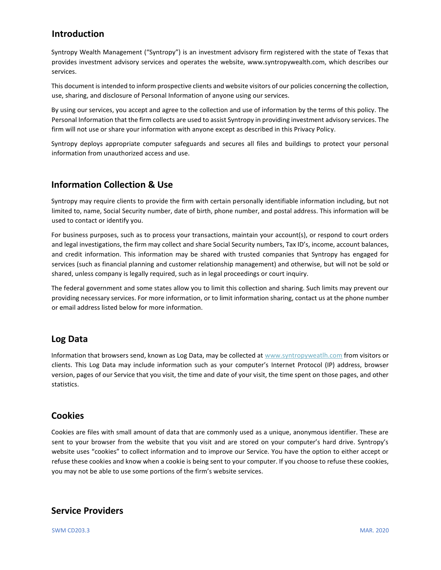## **Introduction**

Syntropy Wealth Management ("Syntropy") is an investment advisory firm registered with the state of Texas that provides investment advisory services and operates the website, www.syntropywealth.com, which describes our services.

This document is intended to inform prospective clients and website visitors of our policies concerning the collection, use, sharing, and disclosure of Personal Information of anyone using our services.

By using our services, you accept and agree to the collection and use of information by the terms of this policy. The Personal Information that the firm collects are used to assist Syntropy in providing investment advisory services. The firm will not use or share your information with anyone except as described in this Privacy Policy.

Syntropy deploys appropriate computer safeguards and secures all files and buildings to protect your personal information from unauthorized access and use.

## **Information Collection & Use**

Syntropy may require clients to provide the firm with certain personally identifiable information including, but not limited to, name, Social Security number, date of birth, phone number, and postal address. This information will be used to contact or identify you.

For business purposes, such as to process your transactions, maintain your account(s), or respond to court orders and legal investigations, the firm may collect and share Social Security numbers, Tax ID's, income, account balances, and credit information. This information may be shared with trusted companies that Syntropy has engaged for services (such as financial planning and customer relationship management) and otherwise, but will not be sold or shared, unless company is legally required, such as in legal proceedings or court inquiry.

The federal government and some states allow you to limit this collection and sharing. Such limits may prevent our providing necessary services. For more information, or to limit information sharing, contact us at the phone number or email address listed below for more information.

## **Log Data**

Information that browsers send, known as Log Data, may be collected at www.syntropyweatlh.com from visitors or clients. This Log Data may include information such as your computer's Internet Protocol (IP) address, browser version, pages of our Service that you visit, the time and date of your visit, the time spent on those pages, and other statistics.

## **Cookies**

Cookies are files with small amount of data that are commonly used as a unique, anonymous identifier. These are sent to your browser from the website that you visit and are stored on your computer's hard drive. Syntropy's website uses "cookies" to collect information and to improve our Service. You have the option to either accept or refuse these cookies and know when a cookie is being sent to your computer. If you choose to refuse these cookies, you may not be able to use some portions of the firm's website services.

## **Service Providers**